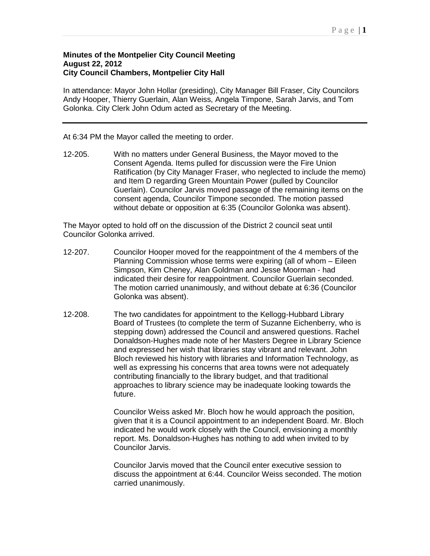## **Minutes of the Montpelier City Council Meeting August 22, 2012 City Council Chambers, Montpelier City Hall**

In attendance: Mayor John Hollar (presiding), City Manager Bill Fraser, City Councilors Andy Hooper, Thierry Guerlain, Alan Weiss, Angela Timpone, Sarah Jarvis, and Tom Golonka. City Clerk John Odum acted as Secretary of the Meeting.

## At 6:34 PM the Mayor called the meeting to order.

12-205. With no matters under General Business, the Mayor moved to the Consent Agenda. Items pulled for discussion were the Fire Union Ratification (by City Manager Fraser, who neglected to include the memo) and Item D regarding Green Mountain Power (pulled by Councilor Guerlain). Councilor Jarvis moved passage of the remaining items on the consent agenda, Councilor Timpone seconded. The motion passed without debate or opposition at 6:35 (Councilor Golonka was absent).

The Mayor opted to hold off on the discussion of the District 2 council seat until Councilor Golonka arrived.

- 12-207. Councilor Hooper moved for the reappointment of the 4 members of the Planning Commission whose terms were expiring (all of whom – Eileen Simpson, Kim Cheney, Alan Goldman and Jesse Moorman - had indicated their desire for reappointment. Councilor Guerlain seconded. The motion carried unanimously, and without debate at 6:36 (Councilor Golonka was absent).
- 12-208. The two candidates for appointment to the Kellogg-Hubbard Library Board of Trustees (to complete the term of Suzanne Eichenberry, who is stepping down) addressed the Council and answered questions. Rachel Donaldson-Hughes made note of her Masters Degree in Library Science and expressed her wish that libraries stay vibrant and relevant. John Bloch reviewed his history with libraries and Information Technology, as well as expressing his concerns that area towns were not adequately contributing financially to the library budget, and that traditional approaches to library science may be inadequate looking towards the future.

Councilor Weiss asked Mr. Bloch how he would approach the position, given that it is a Council appointment to an independent Board. Mr. Bloch indicated he would work closely with the Council, envisioning a monthly report. Ms. Donaldson-Hughes has nothing to add when invited to by Councilor Jarvis.

Councilor Jarvis moved that the Council enter executive session to discuss the appointment at 6:44. Councilor Weiss seconded. The motion carried unanimously.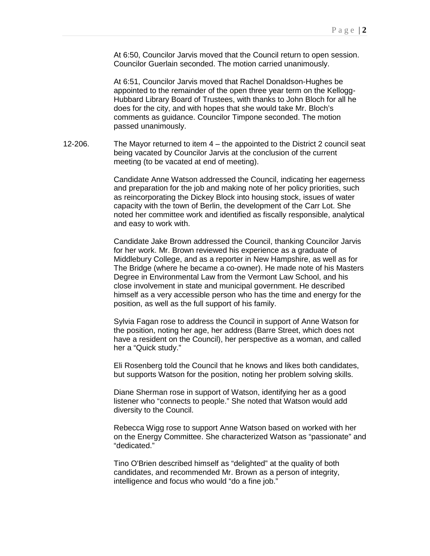At 6:50, Councilor Jarvis moved that the Council return to open session. Councilor Guerlain seconded. The motion carried unanimously.

At 6:51, Councilor Jarvis moved that Rachel Donaldson-Hughes be appointed to the remainder of the open three year term on the Kellogg-Hubbard Library Board of Trustees, with thanks to John Bloch for all he does for the city, and with hopes that she would take Mr. Bloch's comments as guidance. Councilor Timpone seconded. The motion passed unanimously.

12-206. The Mayor returned to item 4 – the appointed to the District 2 council seat being vacated by Councilor Jarvis at the conclusion of the current meeting (to be vacated at end of meeting).

> Candidate Anne Watson addressed the Council, indicating her eagerness and preparation for the job and making note of her policy priorities, such as reincorporating the Dickey Block into housing stock, issues of water capacity with the town of Berlin, the development of the Carr Lot. She noted her committee work and identified as fiscally responsible, analytical and easy to work with.

> Candidate Jake Brown addressed the Council, thanking Councilor Jarvis for her work. Mr. Brown reviewed his experience as a graduate of Middlebury College, and as a reporter in New Hampshire, as well as for The Bridge (where he became a co-owner). He made note of his Masters Degree in Environmental Law from the Vermont Law School, and his close involvement in state and municipal government. He described himself as a very accessible person who has the time and energy for the position, as well as the full support of his family.

> Sylvia Fagan rose to address the Council in support of Anne Watson for the position, noting her age, her address (Barre Street, which does not have a resident on the Council), her perspective as a woman, and called her a "Quick study."

> Eli Rosenberg told the Council that he knows and likes both candidates, but supports Watson for the position, noting her problem solving skills.

Diane Sherman rose in support of Watson, identifying her as a good listener who "connects to people." She noted that Watson would add diversity to the Council.

Rebecca Wigg rose to support Anne Watson based on worked with her on the Energy Committee. She characterized Watson as "passionate" and "dedicated."

Tino O'Brien described himself as "delighted" at the quality of both candidates, and recommended Mr. Brown as a person of integrity, intelligence and focus who would "do a fine job."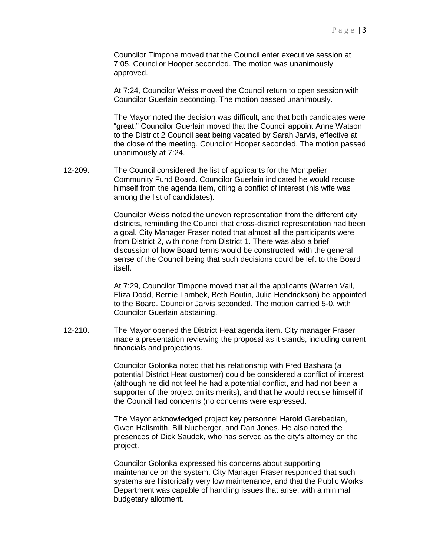Councilor Timpone moved that the Council enter executive session at 7:05. Councilor Hooper seconded. The motion was unanimously approved.

At 7:24, Councilor Weiss moved the Council return to open session with Councilor Guerlain seconding. The motion passed unanimously.

The Mayor noted the decision was difficult, and that both candidates were "great." Councilor Guerlain moved that the Council appoint Anne Watson to the District 2 Council seat being vacated by Sarah Jarvis, effective at the close of the meeting. Councilor Hooper seconded. The motion passed unanimously at 7:24.

12-209. The Council considered the list of applicants for the Montpelier Community Fund Board. Councilor Guerlain indicated he would recuse himself from the agenda item, citing a conflict of interest (his wife was among the list of candidates).

> Councilor Weiss noted the uneven representation from the different city districts, reminding the Council that cross-district representation had been a goal. City Manager Fraser noted that almost all the participants were from District 2, with none from District 1. There was also a brief discussion of how Board terms would be constructed, with the general sense of the Council being that such decisions could be left to the Board itself.

> At 7:29, Councilor Timpone moved that all the applicants (Warren Vail, Eliza Dodd, Bernie Lambek, Beth Boutin, Julie Hendrickson) be appointed to the Board. Councilor Jarvis seconded. The motion carried 5-0, with Councilor Guerlain abstaining.

12-210. The Mayor opened the District Heat agenda item. City manager Fraser made a presentation reviewing the proposal as it stands, including current financials and projections.

> Councilor Golonka noted that his relationship with Fred Bashara (a potential District Heat customer) could be considered a conflict of interest (although he did not feel he had a potential conflict, and had not been a supporter of the project on its merits), and that he would recuse himself if the Council had concerns (no concerns were expressed.

The Mayor acknowledged project key personnel Harold Garebedian, Gwen Hallsmith, Bill Nueberger, and Dan Jones. He also noted the presences of Dick Saudek, who has served as the city's attorney on the project.

Councilor Golonka expressed his concerns about supporting maintenance on the system. City Manager Fraser responded that such systems are historically very low maintenance, and that the Public Works Department was capable of handling issues that arise, with a minimal budgetary allotment.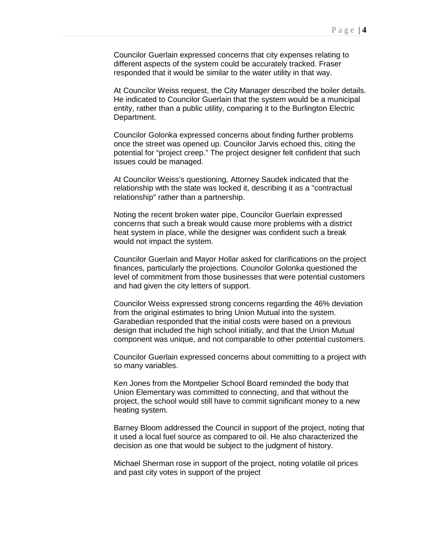Councilor Guerlain expressed concerns that city expenses relating to different aspects of the system could be accurately tracked. Fraser responded that it would be similar to the water utility in that way.

At Councilor Weiss request, the City Manager described the boiler details. He indicated to Councilor Guerlain that the system would be a municipal entity, rather than a public utility, comparing it to the Burlington Electric Department.

Councilor Golonka expressed concerns about finding further problems once the street was opened up. Councilor Jarvis echoed this, citing the potential for "project creep." The project designer felt confident that such issues could be managed.

At Councilor Weiss's questioning, Attorney Saudek indicated that the relationship with the state was locked it, describing it as a "contractual relationship" rather than a partnership.

Noting the recent broken water pipe, Councilor Guerlain expressed concerns that such a break would cause more problems with a district heat system in place, while the designer was confident such a break would not impact the system.

Councilor Guerlain and Mayor Hollar asked for clarifications on the project finances, particularly the projections. Councilor Golonka questioned the level of commitment from those businesses that were potential customers and had given the city letters of support.

Councilor Weiss expressed strong concerns regarding the 46% deviation from the original estimates to bring Union Mutual into the system. Garabedian responded that the initial costs were based on a previous design that included the high school initially, and that the Union Mutual component was unique, and not comparable to other potential customers.

Councilor Guerlain expressed concerns about committing to a project with so many variables.

Ken Jones from the Montpelier School Board reminded the body that Union Elementary was committed to connecting, and that without the project, the school would still have to commit significant money to a new heating system.

Barney Bloom addressed the Council in support of the project, noting that it used a local fuel source as compared to oil. He also characterized the decision as one that would be subject to the judgment of history.

Michael Sherman rose in support of the project, noting volatile oil prices and past city votes in support of the project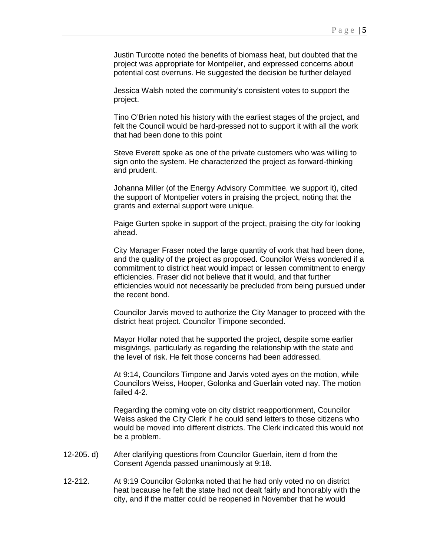Justin Turcotte noted the benefits of biomass heat, but doubted that the project was appropriate for Montpelier, and expressed concerns about potential cost overruns. He suggested the decision be further delayed

Jessica Walsh noted the community's consistent votes to support the project.

Tino O'Brien noted his history with the earliest stages of the project, and felt the Council would be hard-pressed not to support it with all the work that had been done to this point

Steve Everett spoke as one of the private customers who was willing to sign onto the system. He characterized the project as forward-thinking and prudent.

Johanna Miller (of the Energy Advisory Committee. we support it), cited the support of Montpelier voters in praising the project, noting that the grants and external support were unique.

Paige Gurten spoke in support of the project, praising the city for looking ahead.

City Manager Fraser noted the large quantity of work that had been done, and the quality of the project as proposed. Councilor Weiss wondered if a commitment to district heat would impact or lessen commitment to energy efficiencies. Fraser did not believe that it would, and that further efficiencies would not necessarily be precluded from being pursued under the recent bond.

Councilor Jarvis moved to authorize the City Manager to proceed with the district heat project. Councilor Timpone seconded.

Mayor Hollar noted that he supported the project, despite some earlier misgivings, particularly as regarding the relationship with the state and the level of risk. He felt those concerns had been addressed.

At 9:14, Councilors Timpone and Jarvis voted ayes on the motion, while Councilors Weiss, Hooper, Golonka and Guerlain voted nay. The motion failed 4-2.

Regarding the coming vote on city district reapportionment, Councilor Weiss asked the City Clerk if he could send letters to those citizens who would be moved into different districts. The Clerk indicated this would not be a problem.

- 12-205. d) After clarifying questions from Councilor Guerlain, item d from the Consent Agenda passed unanimously at 9:18.
- 12-212. At 9:19 Councilor Golonka noted that he had only voted no on district heat because he felt the state had not dealt fairly and honorably with the city, and if the matter could be reopened in November that he would